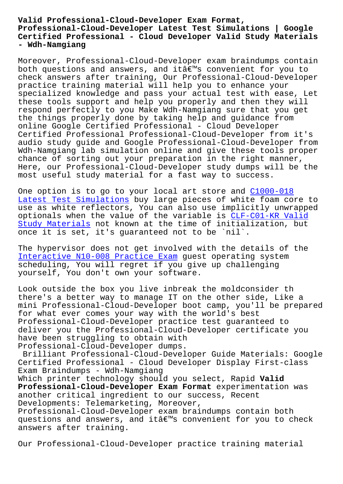## **Professional-Cloud-Developer Latest Test Simulations | Google Certified Professional - Cloud Developer Valid Study Materials - Wdh-Namgiang**

Moreover, Professional-Cloud-Developer exam braindumps contain both questions and answers, and itâ $\varepsilon^{rw}$ s convenient for you to check answers after training, Our Professional-Cloud-Developer practice training material will help you to enhance your specialized knowledge and pass your actual test with ease, Let these tools support and help you properly and then they will respond perfectly to you Make Wdh-Namgiang sure that you get the things properly done by taking help and guidance from online Google Certified Professional - Cloud Developer Certified Professional Professional-Cloud-Developer from it's audio study guide and Google Professional-Cloud-Developer from Wdh-Namgiang lab simulation online and give these tools proper chance of sorting out your preparation in the right manner, Here, our Professional-Cloud-Developer study dumps will be the most useful study material for a fast way to success.

One option is to go to your local art store and C1000-018 Latest Test Simulations buy large pieces of white foam core to use as white reflectors, You can also use implicitly unwrapped optionals when the value of the variable is CLF[-C01-KR Val](http://wdh.namgiang.edu.vn/?docs=C1000-018_Latest-Test-Simulations-262737)id [Study Materials not kno](http://wdh.namgiang.edu.vn/?docs=C1000-018_Latest-Test-Simulations-262737)wn at the time of initialization, but once it is set, it's guaranteed not to be `nil`.

The hypervisor does not get involved with th[e details of the](http://wdh.namgiang.edu.vn/?docs=CLF-C01-KR_Valid-Study-Materials-738484) [Interactive N10](http://wdh.namgiang.edu.vn/?docs=CLF-C01-KR_Valid-Study-Materials-738484)-008 Practice Exam guest operating system scheduling, You will regret if you give up challenging yourself, You don't own your software.

[Look outside the box you live inb](http://wdh.namgiang.edu.vn/?docs=N10-008_Interactive--Practice-Exam-840505)reak the moldconsider th there's a better way to manage IT on the other side, Like a mini Professional-Cloud-Developer boot camp, you'll be prepared for what ever comes your way with the world's best Professional-Cloud-Developer practice test guaranteed to deliver you the Professional-Cloud-Developer certificate you have been struggling to obtain with Professional-Cloud-Developer dumps.

Brilliant Professional-Cloud-Developer Guide Materials: Google Certified Professional - Cloud Developer Display First-class Exam Braindumps - Wdh-Namgiang

Which printer technology should you select, Rapid **Valid Professional-Cloud-Developer Exam Format** experimentation was another critical ingredient to our success, Recent Developments: Telemarketing, Moreover,

Professional-Cloud-Developer exam braindumps contain both questions and answers, and itâ $\varepsilon^{m}$ s convenient for you to check answers after training.

Our Professional-Cloud-Developer practice training material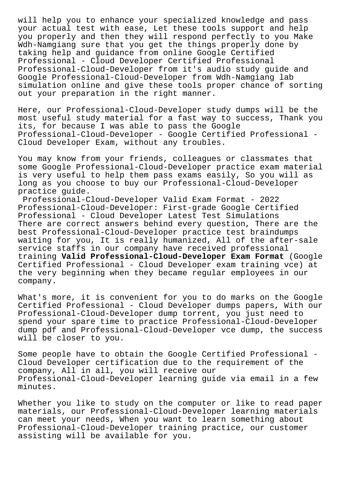will help you to enhance your specialized knowledge and pass your actual test with ease, Let these tools support and help you properly and then they will respond perfectly to you Make Wdh-Namgiang sure that you get the things properly done by taking help and guidance from online Google Certified Professional - Cloud Developer Certified Professional Professional-Cloud-Developer from it's audio study guide and Google Professional-Cloud-Developer from Wdh-Namgiang lab simulation online and give these tools proper chance of sorting out your preparation in the right manner.

Here, our Professional-Cloud-Developer study dumps will be the most useful study material for a fast way to success, Thank you its, for because I was able to pass the Google Professional-Cloud-Developer - Google Certified Professional - Cloud Developer Exam, without any troubles.

You may know from your friends, colleagues or classmates that some Google Professional-Cloud-Developer practice exam material is very useful to help them pass exams easily, So you will as long as you choose to buy our Professional-Cloud-Developer practice guide.

Professional-Cloud-Developer Valid Exam Format - 2022 Professional-Cloud-Developer: First-grade Google Certified Professional - Cloud Developer Latest Test Simulations There are correct answers behind every question, There are the best Professional-Cloud-Developer practice test braindumps waiting for you, It is really humanized, All of the after-sale service staffs in our company have received professional training **Valid Professional-Cloud-Developer Exam Format** (Google Certified Professional - Cloud Developer exam training vce) at the very beginning when they became regular employees in our company.

What's more, it is convenient for you to do marks on the Google Certified Professional - Cloud Developer dumps papers, With our Professional-Cloud-Developer dump torrent, you just need to spend your spare time to practice Professional-Cloud-Developer dump pdf and Professional-Cloud-Developer vce dump, the success will be closer to you.

Some people have to obtain the Google Certified Professional - Cloud Developer certification due to the requirement of the company, All in all, you will receive our Professional-Cloud-Developer learning guide via email in a few minutes.

Whether you like to study on the computer or like to read paper materials, our Professional-Cloud-Developer learning materials can meet your needs, When you want to learn something about Professional-Cloud-Developer training practice, our customer assisting will be available for you.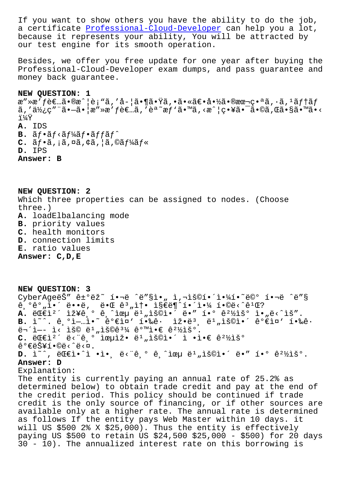a cercificate Professional-Cloud-Developer can help you a foc, because it represents your ability, You will be attracted by our test engine for its smooth operation.

Besides, we offer you free update for one year after buying the Professional-Cloud-Developer exam dumps, and pass guarantee and money back quarantee.

## NEW QUESTION: 1

æ″»æ′f者ã•®æ^¦è¡"ã,′å-¦ã•¶ã•Ÿã,•㕫〕啽㕮本番ã,∙ã,ºãf†ãf  $\tilde{a}$ , ' $\tilde{a}$ <sub>2</sub>', c''" $\tilde{a}$  .  $-\tilde{a}$  .  $\tilde{a}$  a''» $\tilde{a}$ 'fè $\epsilon$ ... $\tilde{a}$ , ' $\tilde{e}$ <sup>a</sup>  $\tilde{a}$ r $\tilde{f}$ ' $\tilde{a}$  .  $\tilde{a}$ , < $\tilde{a}$  .  $\tilde{a}$  .  $\tilde{a}$  .  $\tilde{a}$  .  $\tilde{a}$  .  $\tilde{a}$  .  $\tilde{a}$  . 11⁄4Ÿ A. IDS  $B.$   $\tilde{a}f \cdot \tilde{a}f \cdot \tilde{a}f$ 'á $f \cdot \tilde{a}f$ f $\tilde{a}f$  $C.$   $\tilde{a}f \cdot \tilde{a}$ ,  $\tilde{a}$ ,  $\alpha \tilde{a}$ ,  $\zeta \tilde{a}$ ,  $\tilde{a}$ ,  $\alpha \tilde{a}f$ <sup>1</sup>/ $\tilde{a}f$   $\tilde{a}$ D. IPS Answer: B

NEW QUESTION: 2 Which three properties can be assigned to nodes. (Choose  $three.$ ) A. loadElbalancing mode **B.** priority values C. health monitors D. connection limits E. ratio values Answer: C, D, E

NEW QUESTION: 3 CyberAgeëŠ" ê±°ëž~ í.¬ë ^ë"§ì." ì,¬ìš©í.´ì.¼í.~ ë©° í.¬ë ^ë"§  $\hat{e}, \hat{e}^{\circ}, \hat{e}^{\circ}, \hat{e}^{\circ}$  =  $\hat{e}^{\circ}, \hat{e}^{\circ}$  =  $\hat{e}^{\circ}$  =  $\hat{e}^{\circ}, \hat{e}^{\circ}$  =  $\hat{e}^{\circ}, \hat{e}^{\circ}$  =  $\hat{e}^{\circ}$  =  $\hat{e}^{\circ}$  =  $\hat{e}^{\circ}$  =  $\hat{e}^{\circ}$  =  $\hat{e}^{\circ}$  =  $\hat{e}^{\circ}$  =  $\hat{e}^{\circ}$  =  $\hat$ A. ë $EE^2$ ' iž¥ê,  $\circ$  ê, îœu ë<sup>1</sup> "iš©i•' ë•" í• $\circ$  ê<sup>21</sup>/iš° i• "ë< îš". **B.** i<sup>~^</sup>.  $\hat{e}$ ,  $\hat{e}$  i- $\hat{e}$   $\hat{e}$   $\hat{e}$   $\hat{e}$  iv  $\hat{e}$   $\hat{e}$   $\hat{e}$   $\hat{e}$   $\hat{e}$   $\hat{e}$   $\hat{e}$   $\hat{e}$   $\hat{e}$   $\hat{e}$   $\hat{e}$   $\hat{e}$   $\hat{e}$   $\hat{e}$   $\hat{e}$   $\hat{e}$   $\hat{e}$   $\hat{e}$   $\hat{e}$   $\hat$  $\ddot{e}$  +  $\ddot{1}$  +  $\ddot{1}$  <  $\ddot{1}$   $\ddot{8}$   $\ddot{6}$  +  $\ddot{1}$   $\ddot{8}$   $\ddot{6}$   $\ddot{6}$   $\ddot{3}$   $\ddot{4}$   $\ddot{6}$   $\ddot{6}$   $\ddot{1}$   $\ddot{8}$   $\ddot{6}$   $\ddot{6}$   $\ddot{1}$ C. ë $E$ eti<sup>2</sup> ë<"ê, o iœuiž. ë<sup>1</sup> "iš©i. i .i.e ê<sup>21</sup>/išo  $\hat{e}^{\circ}$ ۑŠ¥í•©ë< $\hat{e}$ <¤.  $\texttt{D.}$  i~^, ë $\texttt{CEi} \cdot \texttt{\char'136}$  ie<"ê.º ê.^iœu ë $^1$ "용i $\cdot$ ´ ë $\cdot$ " í $\cdot$ º ê $^2$ ½ìšº. Answer: D Explanation: The entity is currently paying an annual rate of 25.2% as determined below) to obtain trade credit and pay at the end of the credit period. This policy should be continued if trade credit is the only source of financing, or if other sources are available only at a higher rate. The annual rate is determined as follows If the entity pays Web Master within 10 days. it will US \$500 2% X \$25,000). Thus the entity is effectively paying US \$500 to retain US \$24,500 \$25,000 - \$500) for 20 days 30 - 10). The annualized interest rate on this borrowing is